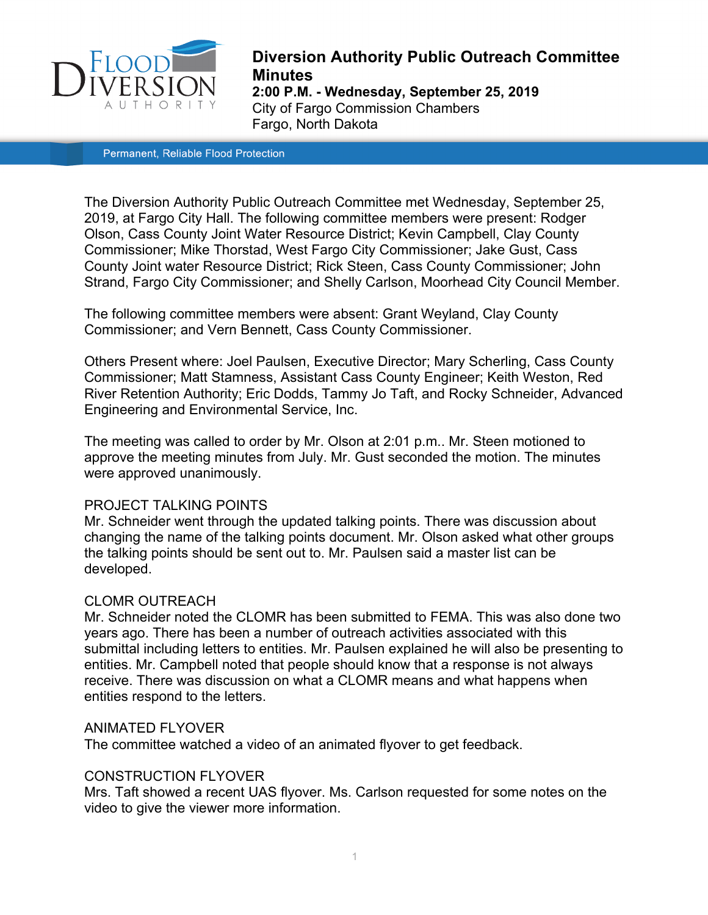

# **Diversion Authority Public Outreach Committee Minutes 2:00 P.M. - Wednesday, September 25, 2019**  City of Fargo Commission Chambers Fargo, North Dakota

Permanent, Reliable Flood Protection

The Diversion Authority Public Outreach Committee met Wednesday, September 25, 2019, at Fargo City Hall. The following committee members were present: Rodger Olson, Cass County Joint Water Resource District; Kevin Campbell, Clay County Commissioner; Mike Thorstad, West Fargo City Commissioner; Jake Gust, Cass County Joint water Resource District; Rick Steen, Cass County Commissioner; John Strand, Fargo City Commissioner; and Shelly Carlson, Moorhead City Council Member.

The following committee members were absent: Grant Weyland, Clay County Commissioner; and Vern Bennett, Cass County Commissioner.

Others Present where: Joel Paulsen, Executive Director; Mary Scherling, Cass County Commissioner; Matt Stamness, Assistant Cass County Engineer; Keith Weston, Red River Retention Authority; Eric Dodds, Tammy Jo Taft, and Rocky Schneider, Advanced Engineering and Environmental Service, Inc.

The meeting was called to order by Mr. Olson at 2:01 p.m.. Mr. Steen motioned to approve the meeting minutes from July. Mr. Gust seconded the motion. The minutes were approved unanimously.

### PROJECT TALKING POINTS

Mr. Schneider went through the updated talking points. There was discussion about changing the name of the talking points document. Mr. Olson asked what other groups the talking points should be sent out to. Mr. Paulsen said a master list can be developed.

## CLOMR OUTREACH

Mr. Schneider noted the CLOMR has been submitted to FEMA. This was also done two years ago. There has been a number of outreach activities associated with this submittal including letters to entities. Mr. Paulsen explained he will also be presenting to entities. Mr. Campbell noted that people should know that a response is not always receive. There was discussion on what a CLOMR means and what happens when entities respond to the letters.

### ANIMATED FLYOVER

The committee watched a video of an animated flyover to get feedback.

## CONSTRUCTION FLYOVER

Mrs. Taft showed a recent UAS flyover. Ms. Carlson requested for some notes on the video to give the viewer more information.